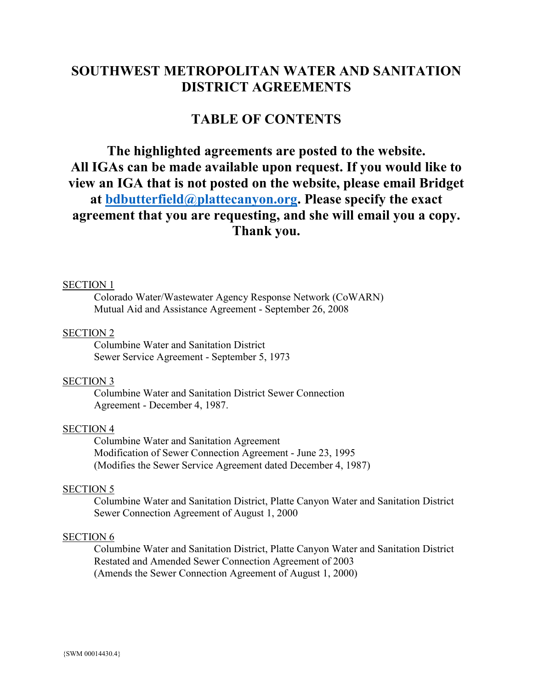# **SOUTHWEST METROPOLITAN WATER AND SANITATION DISTRICT AGREEMENTS**

# **TABLE OF CONTENTS**

# **The highlighted agreements are posted to the website. All IGAs can be made available upon request. If you would like to view an IGA that is not posted on the website, please email Bridget at [bdbutterfield@plattecanyon.org.](mailto:bdbutterfield@plattecanyon.org) Please specify the exact agreement that you are requesting, and she will email you a copy. Thank you.**

#### SECTION 1

Colorado Water/Wastewater Agency Response Network (CoWARN) Mutual Aid and Assistance Agreement - September 26, 2008

#### SECTION 2

Columbine Water and Sanitation District Sewer Service Agreement - September 5, 1973

#### SECTION 3

Columbine Water and Sanitation District Sewer Connection Agreement - December 4, 1987.

# SECTION 4

Columbine Water and Sanitation Agreement Modification of Sewer Connection Agreement - June 23, 1995 (Modifies the Sewer Service Agreement dated December 4, 1987)

#### SECTION 5

Columbine Water and Sanitation District, Platte Canyon Water and Sanitation District Sewer Connection Agreement of August 1, 2000

# SECTION 6

Columbine Water and Sanitation District, Platte Canyon Water and Sanitation District Restated and Amended Sewer Connection Agreement of 2003 (Amends the Sewer Connection Agreement of August 1, 2000)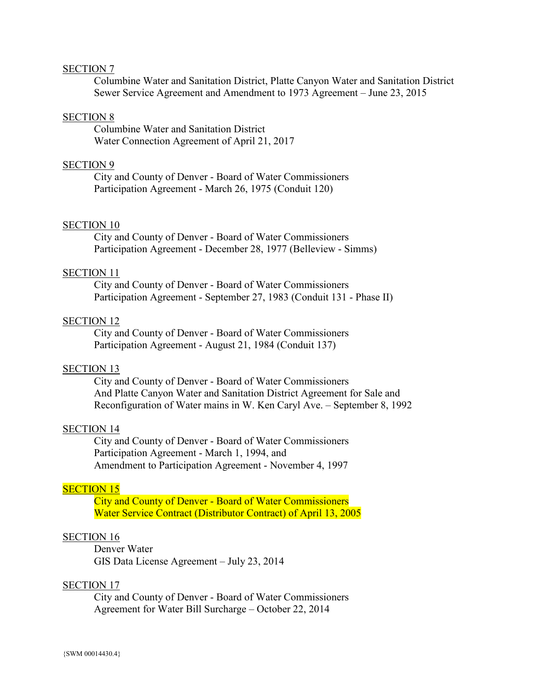### SECTION 7

Columbine Water and Sanitation District, Platte Canyon Water and Sanitation District Sewer Service Agreement and Amendment to 1973 Agreement – June 23, 2015

# SECTION 8

Columbine Water and Sanitation District Water Connection Agreement of April 21, 2017

#### SECTION 9

City and County of Denver - Board of Water Commissioners Participation Agreement - March 26, 1975 (Conduit 120)

#### SECTION 10

City and County of Denver - Board of Water Commissioners Participation Agreement - December 28, 1977 (Belleview - Simms)

# SECTION 11

City and County of Denver - Board of Water Commissioners Participation Agreement - September 27, 1983 (Conduit 131 - Phase II)

# SECTION 12

City and County of Denver - Board of Water Commissioners Participation Agreement - August 21, 1984 (Conduit 137)

# SECTION 13

City and County of Denver - Board of Water Commissioners And Platte Canyon Water and Sanitation District Agreement for Sale and Reconfiguration of Water mains in W. Ken Caryl Ave. – September 8, 1992

#### SECTION 14

City and County of Denver - Board of Water Commissioners Participation Agreement - March 1, 1994, and Amendment to Participation Agreement - November 4, 1997

### SECTION 15

City and County of Denver - Board of Water Commissioners Water Service Contract (Distributor Contract) of April 13, 2005

# SECTION 16

Denver Water GIS Data License Agreement – July 23, 2014

#### SECTION 17

City and County of Denver - Board of Water Commissioners Agreement for Water Bill Surcharge – October 22, 2014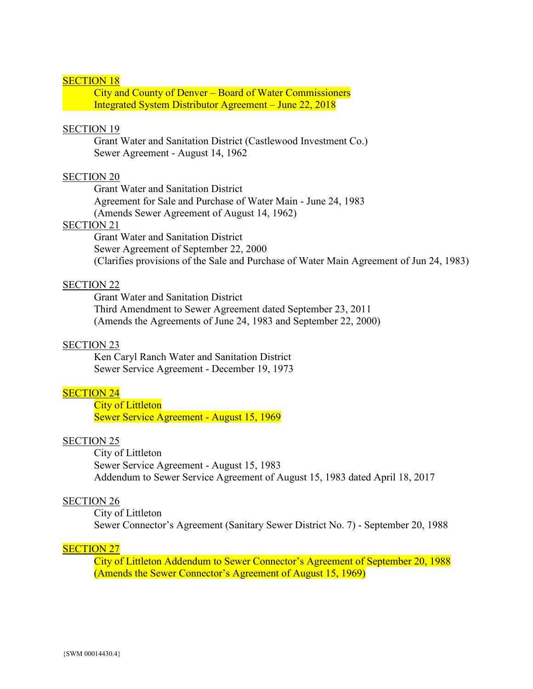# SECTION 18

City and County of Denver – Board of Water Commissioners Integrated System Distributor Agreement – June 22, 2018

# SECTION 19

Grant Water and Sanitation District (Castlewood Investment Co.) Sewer Agreement - August 14, 1962

# SECTION 20

Grant Water and Sanitation District

Agreement for Sale and Purchase of Water Main - June 24, 1983

(Amends Sewer Agreement of August 14, 1962)

# SECTION 21

Grant Water and Sanitation District Sewer Agreement of September 22, 2000 (Clarifies provisions of the Sale and Purchase of Water Main Agreement of Jun 24, 1983)

#### SECTION 22

Grant Water and Sanitation District Third Amendment to Sewer Agreement dated September 23, 2011 (Amends the Agreements of June 24, 1983 and September 22, 2000)

## SECTION 23

Ken Caryl Ranch Water and Sanitation District Sewer Service Agreement - December 19, 1973

# **SECTION 24**

City of Littleton Sewer Service Agreement - August 15, 1969

## SECTION 25

City of Littleton Sewer Service Agreement - August 15, 1983 Addendum to Sewer Service Agreement of August 15, 1983 dated April 18, 2017

#### SECTION 26

City of Littleton Sewer Connector's Agreement (Sanitary Sewer District No. 7) - September 20, 1988

#### **SECTION 27**

City of Littleton Addendum to Sewer Connector's Agreement of September 20, 1988 (Amends the Sewer Connector's Agreement of August 15, 1969)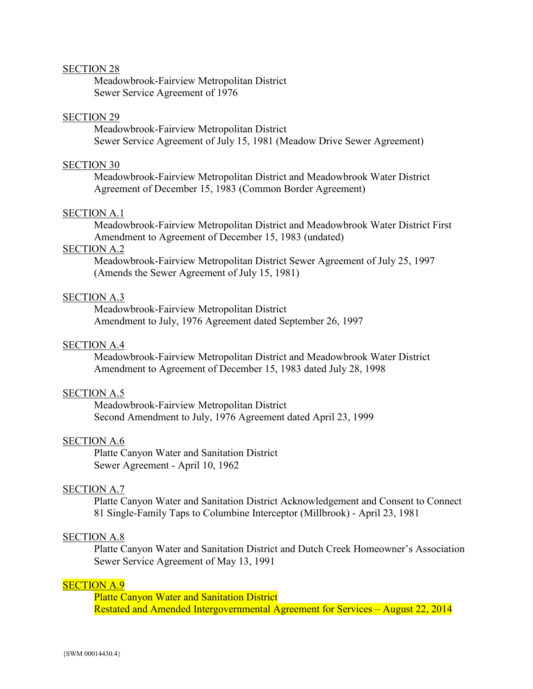#### SECTION 28

Meadowbrook-Fairview Metropolitan District Sewer Service Agreement of 1976

## SECTION 29

Meadowbrook-Fairview Metropolitan District Sewer Service Agreement of July 15, 1981 (Meadow Drive Sewer Agreement)

#### SECTION 30

Meadowbrook-Fairview Metropolitan District and Meadowbrook Water District Agreement of December 15, 1983 (Common Border Agreement)

### SECTION A.1

Meadowbrook-Fairview Metropolitan District and Meadowbrook Water District First Amendment to Agreement of December 15, 1983 (undated)

# SECTION A.2

Meadowbrook-Fairview Metropolitan District Sewer Agreement of July 25, 1997 (Amends the Sewer Agreement of July 15, 1981)

# SECTION A.3

Meadowbrook-Fairview Metropolitan District Amendment to July, 1976 Agreement dated September 26, 1997

# SECTION A.4

Meadowbrook-Fairview Metropolitan District and Meadowbrook Water District Amendment to Agreement of December 15, 1983 dated July 28, 1998

# SECTION A.5

Meadowbrook-Fairview Metropolitan District Second Amendment to July, 1976 Agreement dated April 23, 1999

#### SECTION A.6

Platte Canyon Water and Sanitation District Sewer Agreement - April 10, 1962

#### SECTION A.7

Platte Canyon Water and Sanitation District Acknowledgement and Consent to Connect 81 Single-Family Taps to Columbine Interceptor (Millbrook) - April 23, 1981

# SECTION A.8

Platte Canyon Water and Sanitation District and Dutch Creek Homeowner's Association Sewer Service Agreement of May 13, 1991

#### SECTION A.9

Platte Canyon Water and Sanitation District Restated and Amended Intergovernmental Agreement for Services – August 22, 2014